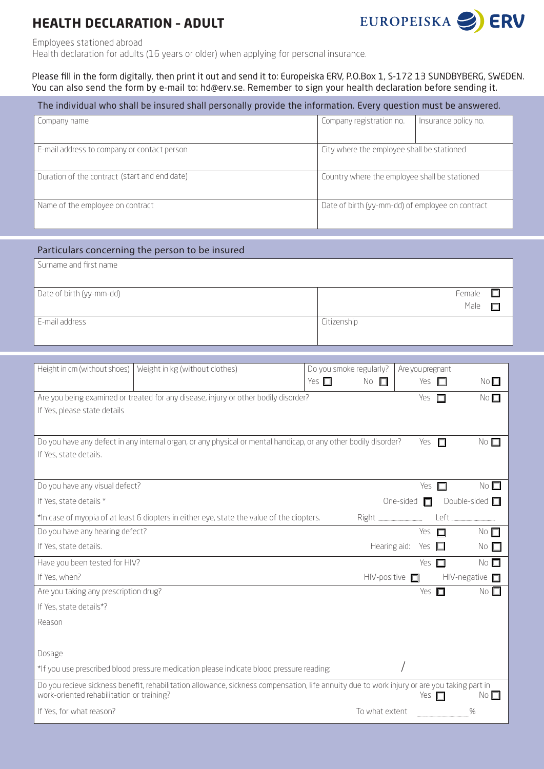## **HEALTH DECLARATION – ADULT**



Employees stationed abroad

Health declaration for adults (16 years or older) when applying for personal insurance.

Please fill in the form digitally, then print it out and send it to: Europeiska ERV, P.O.Box 1, S-172 13 SUNDBYBERG, SWEDEN. You can also send the form by e-mail to: hd@erv.se. Remember to sign your health declaration before sending it.

| The individual who shall be insured shall personally provide the information. Every question must be answered. |                                                  |                      |  |
|----------------------------------------------------------------------------------------------------------------|--------------------------------------------------|----------------------|--|
| Company name                                                                                                   | Company registration no.                         | Insurance policy no. |  |
| E-mail address to company or contact person                                                                    | City where the employee shall be stationed       |                      |  |
| <sup>1</sup> Duration of the contract (start and end date)                                                     | Country where the employee shall be stationed    |                      |  |
| Name of the employee on contract                                                                               | Date of birth (yy-mm-dd) of employee on contract |                      |  |

## Particulars concerning the person to be insured

| Surname and first name   |                |
|--------------------------|----------------|
| Date of birth (yy-mm-dd) | Female<br>Male |
| E-mail address           | Citizenship    |

| Height in cm (without shoes)<br>Weight in kg (without clothes)<br>Do you smoke regularly?<br>Yes $\square$                                                                               | No<br>$\Box$               | Are you pregnant<br>Yes $\Box$ | No                                   |
|------------------------------------------------------------------------------------------------------------------------------------------------------------------------------------------|----------------------------|--------------------------------|--------------------------------------|
| Are you being examined or treated for any disease, injury or other bodily disorder?                                                                                                      |                            | Yes $\square$                  | No <sub>1</sub>                      |
| If Yes, please state details                                                                                                                                                             |                            |                                |                                      |
| Do you have any defect in any internal organ, or any physical or mental handicap, or any other bodily disorder?                                                                          |                            | Yes $\Pi$                      | No <sub>1</sub>                      |
| If Yes, state details.                                                                                                                                                                   |                            |                                |                                      |
| Do you have any visual defect?                                                                                                                                                           |                            | Yes $\Pi$                      | No <sub>1</sub>                      |
| If Yes, state details *                                                                                                                                                                  |                            |                                | One-sided $\Box$ Double-sided $\Box$ |
| *In case of myopia of at least 6 diopters in either eye, state the value of the diopters.                                                                                                |                            |                                |                                      |
| Do you have any hearing defect?                                                                                                                                                          |                            | Yes $\square$                  | $No$ $\Box$                          |
| If Yes, state details.                                                                                                                                                                   | Hearing aid: Yes $\square$ |                                | No $\square$                         |
| Have you been tested for HIV?                                                                                                                                                            |                            | Yes $\Box$                     | No $\square$                         |
| If Yes, when?                                                                                                                                                                            | $HIV$ -positive $\Box$     |                                | $HIV$ -negative $\Box$               |
| Are you taking any prescription drug?                                                                                                                                                    |                            | Yes $\Box$                     | No <sub>1</sub>                      |
| If Yes, state details*?                                                                                                                                                                  |                            |                                |                                      |
| Reason                                                                                                                                                                                   |                            |                                |                                      |
|                                                                                                                                                                                          |                            |                                |                                      |
| Dosage                                                                                                                                                                                   |                            |                                |                                      |
| *If you use prescribed blood pressure medication please indicate blood pressure reading:                                                                                                 |                            |                                |                                      |
| Do you recieve sickness benefit, rehabilitation allowance, sickness compensation, life annuity due to work injury or are you taking part in<br>work-oriented rehabilitation or training? |                            | Yes $\Box$                     | No $\Box$                            |
| If Yes, for what reason?                                                                                                                                                                 | To what extent             |                                | %                                    |